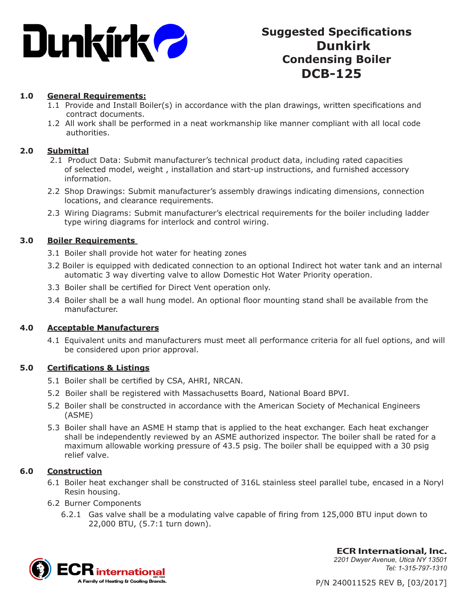

# **Suggested Specifications Dunkirk Condensing Boiler DCB-125**

# **1.0 General Requirements:**

- 1.1 Provide and Install Boiler(s) in accordance with the plan drawings, written specifications and contract documents.
- 1.2 All work shall be performed in a neat workmanship like manner compliant with all local code authorities.

#### **2.0 Submittal**

- 2.1 Product Data: Submit manufacturer's technical product data, including rated capacities of selected model, weight , installation and start-up instructions, and furnished accessory information.
- 2.2 Shop Drawings: Submit manufacturer's assembly drawings indicating dimensions, connection locations, and clearance requirements.
- 2.3 Wiring Diagrams: Submit manufacturer's electrical requirements for the boiler including ladder type wiring diagrams for interlock and control wiring.

### **3.0 Boiler Requirements**

- 3.1 Boiler shall provide hot water for heating zones
- 3.2 Boiler is equipped with dedicated connection to an optional Indirect hot water tank and an internal automatic 3 way diverting valve to allow Domestic Hot Water Priority operation.
- 3.3 Boiler shall be certified for Direct Vent operation only.
- 3.4 Boiler shall be a wall hung model. An optional floor mounting stand shall be available from the manufacturer.

#### **4.0 Acceptable Manufacturers**

4.1 Equivalent units and manufacturers must meet all performance criteria for all fuel options, and will be considered upon prior approval.

#### **5.0 Certifications & Listings**

- 5.1 Boiler shall be certified by CSA, AHRI, NRCAN.
- 5.2 Boiler shall be registered with Massachusetts Board, National Board BPVI.
- 5.2 Boiler shall be constructed in accordance with the American Society of Mechanical Engineers (ASME)
- 5.3 Boiler shall have an ASME H stamp that is applied to the heat exchanger. Each heat exchanger shall be independently reviewed by an ASME authorized inspector. The boiler shall be rated for a maximum allowable working pressure of 43.5 psig. The boiler shall be equipped with a 30 psig relief valve.

# **6.0 Construction**

- 6.1 Boiler heat exchanger shall be constructed of 316L stainless steel parallel tube, encased in a Noryl Resin housing.
- 6.2 Burner Components
	- 6.2.1 Gas valve shall be a modulating valve capable of firing from 125,000 BTU input down to 22,000 BTU, (5.7:1 turn down).



**ECR International, Inc.** *2201 Dwyer Avenue, Utica NY 13501 Tel: 1-315-797-1310*

P/N 240011525 REV B, [03/2017]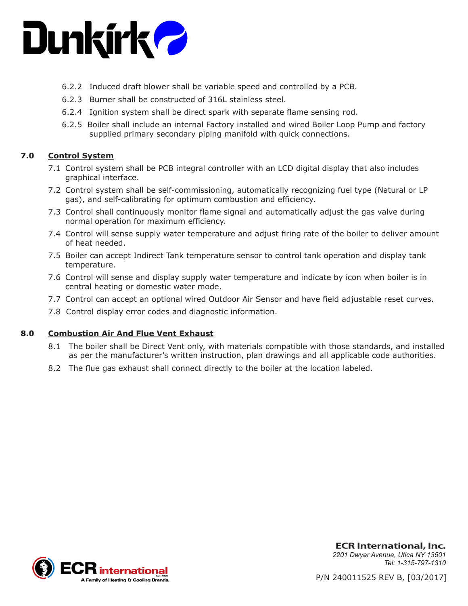

- 6.2.2 Induced draft blower shall be variable speed and controlled by a PCB.
- 6.2.3 Burner shall be constructed of 316L stainless steel.
- 6.2.4 Ignition system shall be direct spark with separate flame sensing rod.
- 6.2.5 Boiler shall include an internal Factory installed and wired Boiler Loop Pump and factory supplied primary secondary piping manifold with quick connections.

# **7.0 Control System**

- 7.1 Control system shall be PCB integral controller with an LCD digital display that also includes graphical interface.
- 7.2 Control system shall be self-commissioning, automatically recognizing fuel type (Natural or LP gas), and self-calibrating for optimum combustion and efficiency.
- 7.3 Control shall continuously monitor flame signal and automatically adjust the gas valve during normal operation for maximum efficiency.
- 7.4 Control will sense supply water temperature and adjust firing rate of the boiler to deliver amount of heat needed.
- 7.5 Boiler can accept Indirect Tank temperature sensor to control tank operation and display tank temperature.
- 7.6 Control will sense and display supply water temperature and indicate by icon when boiler is in central heating or domestic water mode.
- 7.7 Control can accept an optional wired Outdoor Air Sensor and have field adjustable reset curves.
- 7.8 Control display error codes and diagnostic information.

#### **8.0 Combustion Air And Flue Vent Exhaust**

- 8.1 The boiler shall be Direct Vent only, with materials compatible with those standards, and installed as per the manufacturer's written instruction, plan drawings and all applicable code authorities.
- 8.2 The flue gas exhaust shall connect directly to the boiler at the location labeled.



**ECR International, Inc.** *2201 Dwyer Avenue, Utica NY 13501 Tel: 1-315-797-1310*

P/N 240011525 REV B, [03/2017]